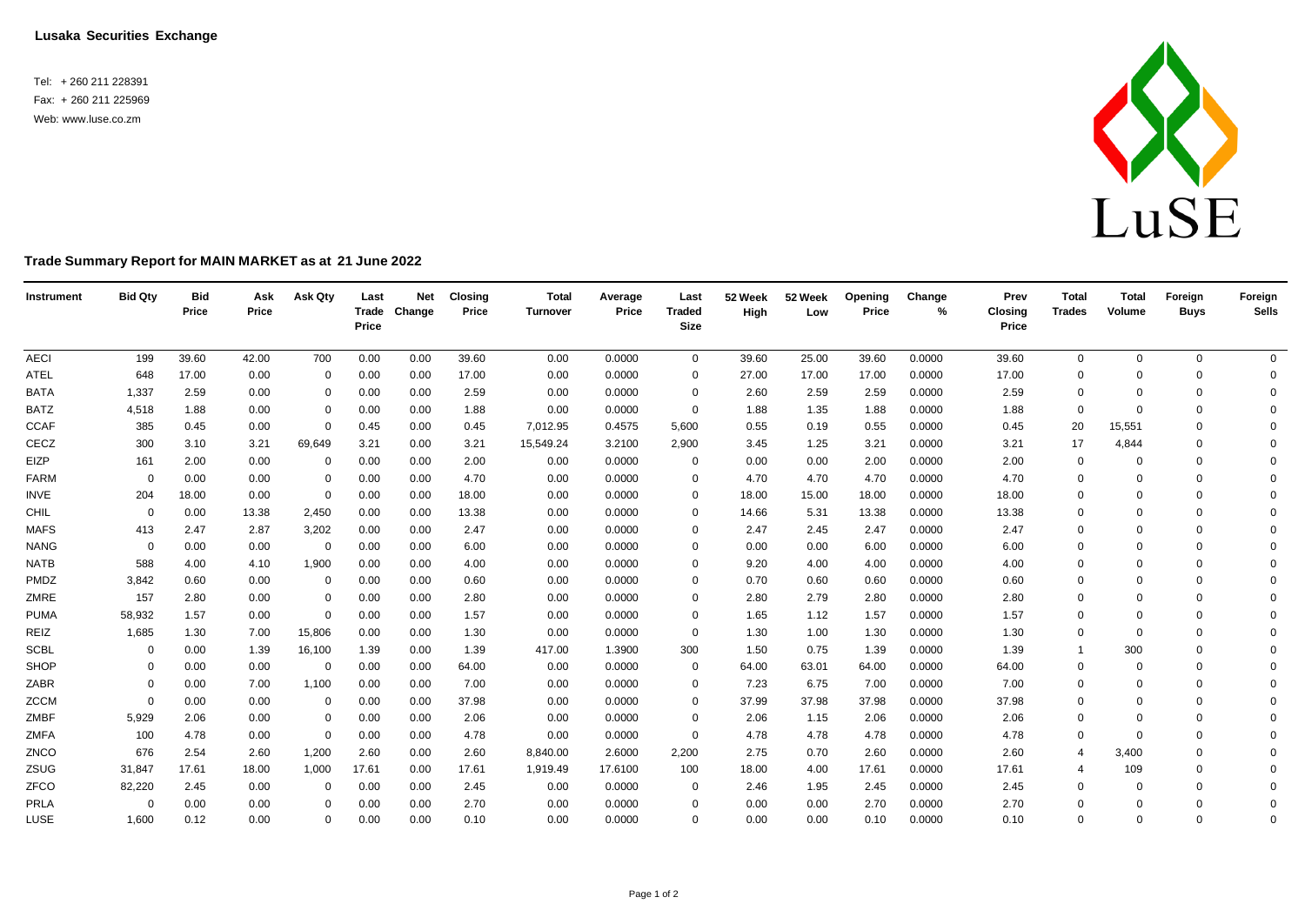**Lusaka Securities Exchange**

Tel: + 260 211 228391 Fax: + 260 211 225969 Web: [www.luse.co.zm](http://www.luse.co.zm/)



## **Trade Summary Report for MAIN MARKET as at 21 June 2022**

| Instrument  | <b>Bid Qty</b> | <b>Bid</b><br>Price | Ask<br>Price | Ask Qty     | Last<br>Price | <b>Net</b><br>Trade Change | <b>Closing</b><br>Price | <b>Total</b><br>Turnover | Average<br>Price | Last<br><b>Traded</b><br><b>Size</b> | 52 Week<br>High | 52 Week<br>Low | Openina<br>Price | Change<br>% | Prev<br><b>Closing</b><br>Price | <b>Total</b><br>Trades | <b>Total</b><br>Volume | Foreign<br><b>Buys</b> | Foreign<br>Sells |
|-------------|----------------|---------------------|--------------|-------------|---------------|----------------------------|-------------------------|--------------------------|------------------|--------------------------------------|-----------------|----------------|------------------|-------------|---------------------------------|------------------------|------------------------|------------------------|------------------|
| <b>AECI</b> | 199            | 39.60               | 42.00        | 700         | 0.00          | 0.00                       | 39.60                   | 0.00                     | 0.0000           | $\overline{0}$                       | 39.60           | 25.00          | 39.60            | 0.0000      | 39.60                           | 0                      | $\Omega$               | $\mathbf 0$            | $\mathbf 0$      |
| <b>ATEL</b> | 648            | 17.00               | 0.00         | $\mathbf 0$ | 0.00          | 0.00                       | 17.00                   | 0.00                     | 0.0000           | 0                                    | 27.00           | 17.00          | 17.00            | 0.0000      | 17.00                           | $\Omega$               | $\Omega$               | $\Omega$               | $\mathbf 0$      |
| <b>BATA</b> | 1,337          | 2.59                | 0.00         | $\mathbf 0$ | 0.00          | 0.00                       | 2.59                    | 0.00                     | 0.0000           | 0                                    | 2.60            | 2.59           | 2.59             | 0.0000      | 2.59                            | 0                      | $\Omega$               | $\mathbf 0$            | $\mathbf 0$      |
| <b>BATZ</b> | 4,518          | 1.88                | 0.00         | 0           | 0.00          | 0.00                       | 1.88                    | 0.00                     | 0.0000           | $\mathbf 0$                          | 1.88            | 1.35           | 1.88             | 0.0000      | 1.88                            | $\Omega$               | $\Omega$               | $\Omega$               | $\mathbf 0$      |
| <b>CCAF</b> | 385            | 0.45                | 0.00         | $\mathbf 0$ | 0.45          | 0.00                       | 0.45                    | 7,012.95                 | 0.4575           | 5,600                                | 0.55            | 0.19           | 0.55             | 0.0000      | 0.45                            | 20                     | 15,551                 | $\Omega$               | $\mathbf 0$      |
| CECZ        | 300            | 3.10                | 3.21         | 69,649      | 3.21          | 0.00                       | 3.21                    | 15,549.24                | 3.2100           | 2,900                                | 3.45            | 1.25           | 3.21             | 0.0000      | 3.21                            | 17                     | 4,844                  | $\Omega$               | $\Omega$         |
| EIZP        | 161            | 2.00                | 0.00         | $\mathbf 0$ | 0.00          | 0.00                       | 2.00                    | 0.00                     | 0.0000           | $\mathbf 0$                          | 0.00            | 0.00           | 2.00             | 0.0000      | 2.00                            | 0                      | $\Omega$               | $\Omega$               | $\Omega$         |
| FARM        | $\Omega$       | 0.00                | 0.00         | $\mathbf 0$ | 0.00          | 0.00                       | 4.70                    | 0.00                     | 0.0000           | 0                                    | 4.70            | 4.70           | 4.70             | 0.0000      | 4.70                            | 0                      | $\Omega$               | $\Omega$               | $\Omega$         |
| <b>INVE</b> | 204            | 18.00               | 0.00         | $\mathbf 0$ | 0.00          | 0.00                       | 18.00                   | 0.00                     | 0.0000           | $\Omega$                             | 18.00           | 15.00          | 18.00            | 0.0000      | 18.00                           | $\Omega$               | $\Omega$               | $\Omega$               | $\Omega$         |
| CHIL        | $\overline{0}$ | 0.00                | 13.38        | 2,450       | 0.00          | 0.00                       | 13.38                   | 0.00                     | 0.0000           | $\Omega$                             | 14.66           | 5.31           | 13.38            | 0.0000      | 13.38                           | $\Omega$               | $\Omega$               | $\Omega$               | $\Omega$         |
| <b>MAFS</b> | 413            | 2.47                | 2.87         | 3,202       | 0.00          | 0.00                       | 2.47                    | 0.00                     | 0.0000           | $\Omega$                             | 2.47            | 2.45           | 2.47             | 0.0000      | 2.47                            | 0                      | $\Omega$               | $\Omega$               | $\Omega$         |
| <b>NANG</b> | $\overline{0}$ | 0.00                | 0.00         | 0           | 0.00          | 0.00                       | 6.00                    | 0.00                     | 0.0000           | $\Omega$                             | 0.00            | 0.00           | 6.00             | 0.0000      | 6.00                            | $\Omega$               | $\Omega$               | $\Omega$               | $\Omega$         |
| <b>NATB</b> | 588            | 4.00                | 4.10         | 1,900       | 0.00          | 0.00                       | 4.00                    | 0.00                     | 0.0000           | $\Omega$                             | 9.20            | 4.00           | 4.00             | 0.0000      | 4.00                            | $\mathbf 0$            | $\Omega$               | $\Omega$               | $\Omega$         |
| PMDZ        | 3,842          | 0.60                | 0.00         | $\mathbf 0$ | 0.00          | 0.00                       | 0.60                    | 0.00                     | 0.0000           | $\Omega$                             | 0.70            | 0.60           | 0.60             | 0.0000      | 0.60                            | $\mathbf 0$            | $\Omega$               | $\Omega$               | $\mathbf 0$      |
| ZMRE        | 157            | 2.80                | 0.00         | $\mathbf 0$ | 0.00          | 0.00                       | 2.80                    | 0.00                     | 0.0000           | $\Omega$                             | 2.80            | 2.79           | 2.80             | 0.0000      | 2.80                            | $\Omega$               | $\Omega$               | $\Omega$               | $\mathbf 0$      |
| <b>PUMA</b> | 58,932         | 1.57                | 0.00         | $\mathbf 0$ | 0.00          | 0.00                       | 1.57                    | 0.00                     | 0.0000           | 0                                    | 1.65            | 1.12           | 1.57             | 0.0000      | 1.57                            | $\mathbf 0$            | $\Omega$               | $\Omega$               | $\Omega$         |
| REIZ        | 1,685          | 1.30                | 7.00         | 15,806      | 0.00          | 0.00                       | 1.30                    | 0.00                     | 0.0000           | $\mathbf 0$                          | 1.30            | 1.00           | 1.30             | 0.0000      | 1.30                            | $\mathbf 0$            | $\Omega$               | $\Omega$               | $\mathbf 0$      |
| <b>SCBL</b> | $\overline{0}$ | 0.00                | 1.39         | 16,100      | 1.39          | 0.00                       | 1.39                    | 417.00                   | 1.3900           | 300                                  | 1.50            | 0.75           | 1.39             | 0.0000      | 1.39                            | $\overline{1}$         | 300                    | $\Omega$               | $\mathbf 0$      |
| SHOP        | 0              | 0.00                | 0.00         | $\mathbf 0$ | 0.00          | 0.00                       | 64.00                   | 0.00                     | 0.0000           | $\mathbf 0$                          | 64.00           | 63.01          | 64.00            | 0.0000      | 64.00                           | $\mathbf 0$            | $\Omega$               | $\mathbf 0$            | $\Omega$         |
| ZABR        | $\Omega$       | 0.00                | 7.00         | 1,100       | 0.00          | 0.00                       | 7.00                    | 0.00                     | 0.0000           | $\Omega$                             | 7.23            | 6.75           | 7.00             | 0.0000      | 7.00                            | 0                      | $\Omega$               | $\Omega$               | $\Omega$         |
| ZCCM        | $\Omega$       | 0.00                | 0.00         | $\mathbf 0$ | 0.00          | 0.00                       | 37.98                   | 0.00                     | 0.0000           | $\Omega$                             | 37.99           | 37.98          | 37.98            | 0.0000      | 37.98                           | $\Omega$               | $\Omega$               | $\Omega$               | $\Omega$         |
| ZMBF        | 5,929          | 2.06                | 0.00         | $\mathbf 0$ | 0.00          | 0.00                       | 2.06                    | 0.00                     | 0.0000           | 0                                    | 2.06            | 1.15           | 2.06             | 0.0000      | 2.06                            | $\mathbf 0$            | $\Omega$               | $\Omega$               | $\Omega$         |
| ZMFA        | 100            | 4.78                | 0.00         | $\mathbf 0$ | 0.00          | 0.00                       | 4.78                    | 0.00                     | 0.0000           | $\mathbf 0$                          | 4.78            | 4.78           | 4.78             | 0.0000      | 4.78                            | $\Omega$               | $\Omega$               | $\Omega$               | $\Omega$         |
| ZNCO        | 676            | 2.54                | 2.60         | 1,200       | 2.60          | 0.00                       | 2.60                    | 8,840.00                 | 2.6000           | 2,200                                | 2.75            | 0.70           | 2.60             | 0.0000      | 2.60                            | $\overline{4}$         | 3,400                  | $\Omega$               | $\Omega$         |
| ZSUG        | 31,847         | 17.61               | 18.00        | 1,000       | 17.61         | 0.00                       | 17.61                   | 1,919.49                 | 17.6100          | 100                                  | 18.00           | 4.00           | 17.61            | 0.0000      | 17.61                           | 4                      | 109                    | $\Omega$               | $\Omega$         |
| ZFCO        | 82,220         | 2.45                | 0.00         | 0           | 0.00          | 0.00                       | 2.45                    | 0.00                     | 0.0000           | $\mathbf 0$                          | 2.46            | 1.95           | 2.45             | 0.0000      | 2.45                            | $\Omega$               | $\Omega$               | $\Omega$               | $\Omega$         |
| PRLA        | $\overline{0}$ | 0.00                | 0.00         | $\Omega$    | 0.00          | 0.00                       | 2.70                    | 0.00                     | 0.0000           | $\Omega$                             | 0.00            | 0.00           | 2.70             | 0.0000      | 2.70                            | $\Omega$               | $\Omega$               | $\Omega$               | $\mathbf 0$      |
| LUSE        | 1,600          | 0.12                | 0.00         | $\mathbf 0$ | 0.00          | 0.00                       | 0.10                    | 0.00                     | 0.0000           | $\Omega$                             | 0.00            | 0.00           | 0.10             | 0.0000      | 0.10                            | $\Omega$               | $\Omega$               | $\Omega$               | $\mathbf 0$      |